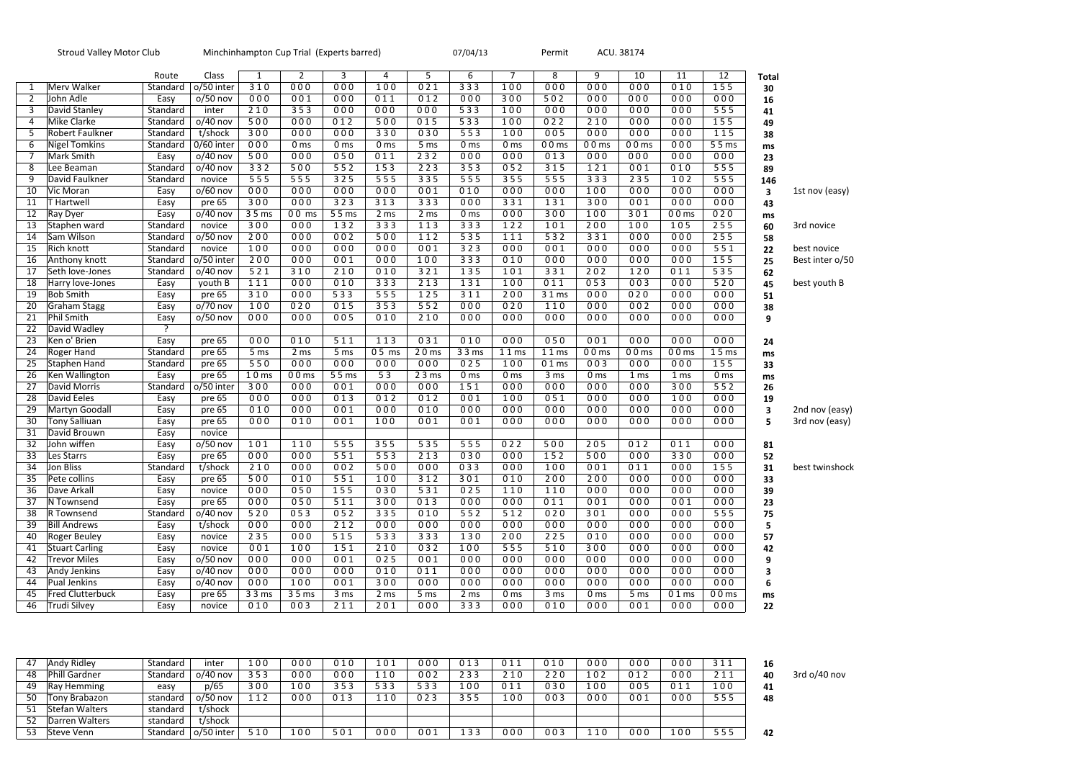|                 | <b>Stroud Valley Motor Club</b> |                | Minchinhampton Cup Trial (Experts barred) |                  |                 |                  |                 |                 | Permit<br>07/04/13 |                 |                 |                 | ACU. 38174      |                 |                  |                         |                 |
|-----------------|---------------------------------|----------------|-------------------------------------------|------------------|-----------------|------------------|-----------------|-----------------|--------------------|-----------------|-----------------|-----------------|-----------------|-----------------|------------------|-------------------------|-----------------|
|                 |                                 | Route          | Class                                     | 1                | $\overline{2}$  | 3                | 4               | 5               | 6                  | $\overline{7}$  | 8               | 9               | 10              | 11              | 12               | <b>Total</b>            |                 |
| 1               | Merv Walker                     | Standard       | o/50 inter                                | 310              | 000             | 000              | 100             | 021             | 333                | 100             | 000             | 000             | 000             | 010             | 155              | 30                      |                 |
| 2               | John Adle                       | Easy           | $o/50$ nov                                | 000              | 001             | 000              | 011             | 012             | 000                | 300             | 502             | 000             | 000             | 000             | 000              | 16                      |                 |
| 3               | David Stanley                   | Standard       | inter                                     | 210              | 353             | 000              | 000             | 000             | 533                | 100             | 000             | 000             | 000             | 000             | 555              | 41                      |                 |
| 4               | Mike Clarke                     | Standard       | $o/40$ nov                                | 500              | 000             | 012              | 500             | 015             | 533                | 100             | 022             | 210             | 000             | 000             | 155              | 49                      |                 |
| 5               | Robert Faulkner                 | Standard       | t/shock                                   | 300              | 000             | 000              | 330             | 030             | 553                | 100             | 005             | 000             | 000             | 000             | 115              | 38                      |                 |
| 6               | <b>Nigel Tomkins</b>            | Standard       | 0/60 inter                                | 000              | 0 <sub>ms</sub> | 0 <sub>ms</sub>  | 0 <sub>ms</sub> | 5 ms            | 0 <sub>ms</sub>    | 0 <sub>ms</sub> | $00 \text{ ms}$ | $00 \text{ ms}$ | $00 \text{ ms}$ | 000             | 55 <sub>ms</sub> | ms                      |                 |
| $\overline{7}$  | Mark Smith                      | Easy           | $o/40$ nov                                | 500              | 000             | 050              | 011             | 232             | 000                | 000             | 013             | 000             | 000             | 000             | 000              | 23                      |                 |
| 8               | Lee Beaman                      | Standard       | $o/40$ nov                                | 332              | 500             | 552              | 153             | 223             | 353                | 052             | 315             | 121             | 001             | 010             | 555              | 89                      |                 |
| 9               | David Faulkner                  | Standard       | novice                                    | 555              | 555             | 325              | 555             | 335             | 555                | 355             | 555             | 333             | 235             | 102             | 555              | 146                     |                 |
| 10              | Vic Moran                       | Easy           | $o/60$ nov                                | 000              | 000             | 000              | 000             | 001             | 010                | 000             | 000             | 100             | 000             | 000             | 000              | $\mathbf{3}$            | 1st nov (easy)  |
| 11              | <b>T</b> Hartwell               | Easy           | pre 65                                    | 300              | 000             | 323              | 313             | 333             | 000                | 331             | 131             | 300             | 001             | 000             | 000              | 43                      |                 |
| 12              | Ray Dyer                        | Easy           | $o/40$ nov                                | 35 <sub>ms</sub> | $00 \text{ ms}$ | 55 <sub>ms</sub> | 2 ms            | 2 <sub>ms</sub> | 0 <sub>ms</sub>    | 000             | 300             | 100             | 301             | $00 \text{ ms}$ | 020              | ms                      |                 |
| 13              | Staphen ward                    | Standard       | novice                                    | 300              | 000             | 132              | 333             | 113             | 333                | 122             | 101             | 200             | 100             | 105             | 255              | 60                      | 3rd novice      |
| 14              | Sam Wilson                      | Standard       | $o/50$ nov                                | 200              | 000             | 002              | 500             | 112             | 535                | 111             | 532             | 331             | 000             | 000             | 255              | 58                      |                 |
| 15              | <b>Rich knott</b>               | Standard       | novice                                    | 100              | 000             | 000              | 000             | 001             | 323                | 000             | 001             | 000             | 000             | 000             | 551              | 22                      | best novice     |
| 16              | Anthony knott                   | Standard       | o/50 inter                                | 200              | 000             | 001              | 000             | 100             | 333                | 010             | 000             | 000             | 000             | 000             | 155              | 25                      | Best inter o/50 |
| 17              | Seth love-Jones                 | Standard       | $o/40$ nov                                | 521              | 310             | 210              | 010             | 321             | 135                | 101             | 331             | 202             | 120             | 011             | 535              | 62                      |                 |
| 18              | Harry love-Jones                | Easy           | youth B                                   | 111              | 000             | 010              | 333             | 213             | 131                | 100             | 011             | 053             | 003             | 000             | 520              | 45                      | best youth B    |
| $\overline{19}$ | <b>Bob Smith</b>                | Easy           | pre 65                                    | 310              | 000             | 533              | 555             | 125             | 311                | 200             | 31 ms           | 000             | 020             | 000             | 000              | 51                      |                 |
| $\overline{20}$ | Graham Stagg                    | Easy           | $o/70$ nov                                | 100              | 020             | 015              | 353             | 552             | 000                | 020             | 110             | 000             | 002             | 000             | 000              | 38                      |                 |
| 21              | Phil Smith                      | Easy           | $o/50$ nov                                | 000              | 000             | 005              | 010             | 210             | 000                | 000             | 000             | 000             | 000             | 000             | 000              | 9                       |                 |
| 22              | David Wadley                    | $\overline{?}$ |                                           |                  |                 |                  |                 |                 |                    |                 |                 |                 |                 |                 |                  |                         |                 |
| 23              | Ken o' Brien                    | Easy           | pre 65                                    | 000              | 010             | 511              | 113             | 031             | 010                | 000             | 050             | 001             | 000             | 000             | 000              | 24                      |                 |
| 24              | Roger Hand                      | Standard       | pre 65                                    | 5 ms             | 2 ms            | 5 ms             | 05 ms           | 20 ms           | 3 3 ms             | 11 ms           | 11 ms           | $00 \text{ ms}$ | $00 \text{ ms}$ | $00 \text{ ms}$ | 15 <sub>ms</sub> | ms                      |                 |
| 25              | Staphen Hand                    | Standard       | pre 65                                    | 550              | 000             | 000              | 000             | 000             | 025                | 100             | $01 \text{ ms}$ | 003             | 000             | 000             | 155              | 33                      |                 |
| 26              | Ken Wallington                  | Easy           | pre 65                                    | 10 <sub>ms</sub> | 00ms            | 55 <sub>ms</sub> | $\overline{53}$ | 23 ms           | 0 <sub>ms</sub>    | 0 <sub>ms</sub> | 3 ms            | 0 <sub>ms</sub> | 1 <sub>ms</sub> | 1 <sub>ms</sub> | 0 <sub>ms</sub>  | ms                      |                 |
| $\overline{27}$ | David Morris                    | Standard       | o/50 inter                                | $\overline{300}$ | 000             | 001              | 000             | 000             | 151                | 000             | 000             | 000             | 000             | 300             | 552              | 26                      |                 |
| $\overline{28}$ | David Eeles                     | Easy           | pre 65                                    | 000              | 000             | 013              | 012             | 012             | 001                | 100             | 051             | 000             | 000             | 100             | 000              | 19                      |                 |
| 29              | Martyn Goodall                  | Easy           | pre 65                                    | 010              | 000             | 001              | 000             | 010             | 000                | 000             | 000             | 000             | 000             | 000             | 000              | $\overline{\mathbf{3}}$ | 2nd nov (easy)  |
| 30              | <b>Tony Salliuan</b>            | Easy           | pre 65                                    | 000              | 010             | 001              | 100             | 001             | 001                | 000             | 000             | 000             | 000             | 000             | 000              | 5                       | 3rd nov (easy)  |
| 31              | David Brouwn                    | Easy           | novice                                    |                  |                 |                  |                 |                 |                    |                 |                 |                 |                 |                 |                  |                         |                 |
| 32              | John wiffen                     | Easy           | $o/50$ nov                                | 101              | 110             | 555              | 355             | 535             | 555                | 022             | 500             | 205             | 012             | 011             | 000              | 81                      |                 |
| 33              | Les Starrs                      | Easy           | pre 65                                    | 000              | 000             | 551              | 553             | 213             | 030                | 000             | 152             | 500             | 000             | 330             | 000              | 52                      |                 |
| 34              | Jon Bliss                       | Standard       | t/shock                                   | 210              | 000             | 002              | 500             | 000             | 033                | 000             | 100             | 001             | 011             | 000             | 155              | 31                      | best twinshock  |
| 35              | Pete collins                    | Easy           | pre 65                                    | 500              | 010             | 551              | 100             | $312$           | 301                | 010             | 200             | 200             | 000             | 000             | 000              | 33                      |                 |
| 36              | Dave Arkall                     | Easy           | novice                                    | 000              | 050             | 155              | 030             | 531             | 025                | 110             | 110             | 000             | 000             | 000             | 000              | 39                      |                 |
| 37              | N Townsend                      | Easy           | pre 65                                    | 000              | 050             | 511              | 300             | 013             | 000                | 000             | 011             | 001             | 000             | 001             | 000              | 23                      |                 |
| 38              | R Townsend                      | Standard       | $o/40$ nov                                | 520              | 053             | 052              | 335             | 010             | 552                | 512             | 020             | 301             | 000             | 000             | 555              | 75                      |                 |
| 39              | <b>Bill Andrews</b>             | Easy           | t/shock                                   | 000              | 000             | 212              | 000             | 000             | 000                | 000             | 000             | 000             | 000             | 000             | 000              | 5                       |                 |
| 40              | Roger Beuley                    | Easy           | novice                                    | 235              | 000             | $\overline{515}$ | 533             | 333             | 130                | 200             | 225             | 010             | 000             | 000             | 000              | 57                      |                 |
| 41              | <b>Stuart Carling</b>           | Easy           | novice                                    | 001              | 100             | 151              | 210             | 032             | 100                | 555             | 510             | 300             | 000             | 000             | 000              | 42                      |                 |
| 42              | <b>Trevor Miles</b>             | Easy           | $o/50$ nov                                | 000              | 000             | 001              | 025             | 001             | 000                | 000             | 000             | 000             | 000             | 000             | 000              | 9                       |                 |
| 43              | Andy Jenkins                    | Easy           | $o/40$ nov                                | 000              | 000             | 000              | 010             | 011             | 000                | 000             | 000             | 000             | 000             | 000             | 000              | 3                       |                 |
| 44              | Pual Jenkins                    | Easy           | $o/40$ nov                                | 000              | 100             | 001              | 300             | 000             | 000                | 000             | 000             | 000             | 000             | 000             | 000              | 6                       |                 |
| 45              | <b>Fred Clutterbuck</b>         | Easy           | pre 65                                    | 33 ms            | 3 5 ms          | 3 <sub>ms</sub>  | 2 ms            | 5 ms            | 2 ms               | 0 <sub>ms</sub> | 3 ms            | 0 <sub>ms</sub> | 5 ms            | $01 \text{ ms}$ | 00ms             | ms                      |                 |
| 46              | Trudi Silvey                    | Easy           | novice                                    | 010              | 003             | 211              | 201             | 000             | 333                | 000             | 010             | 000             | 001             | 000             | 000              | 22                      |                 |

| 47 | <b>Andy Ridley</b> | Standard | inter      | 100 | 000 | 010 | 101 | 000 | 013 | 011 | 010 | 000 | 000 | 000 | 311 | 16 |                |
|----|--------------------|----------|------------|-----|-----|-----|-----|-----|-----|-----|-----|-----|-----|-----|-----|----|----------------|
| 48 | Phill Gardner      | Standard | $o/40$ nov | 353 | 000 | 000 | 110 | 002 | 233 | 210 | 220 | 102 | 012 | 000 | 211 | 40 | 3rd $o/40$ nov |
| 49 | <b>Ray Hemming</b> | easy     | p/65       | 300 | 100 | 353 | 533 | 533 | 100 | 011 | 030 | 100 | 005 | 011 | 100 | 41 |                |
| 50 | Tony Brabazon      | standard | $o/50$ nov | 112 | 000 | 013 | 110 | 023 | 355 | 100 | 003 | 000 | 001 | 000 | 555 | 48 |                |
| 51 | Stefan Walters     | standard | t/shock    |     |     |     |     |     |     |     |     |     |     |     |     |    |                |
| 52 | Darren Walters     | standard | t/shock    |     |     |     |     |     |     |     |     |     |     |     |     |    |                |
| 53 | Steve Venn         | Standard | o/50 inter | 510 | 100 | 501 | 000 | 001 | 133 | 000 | 003 | 110 | 000 | 100 | 555 | 42 |                |